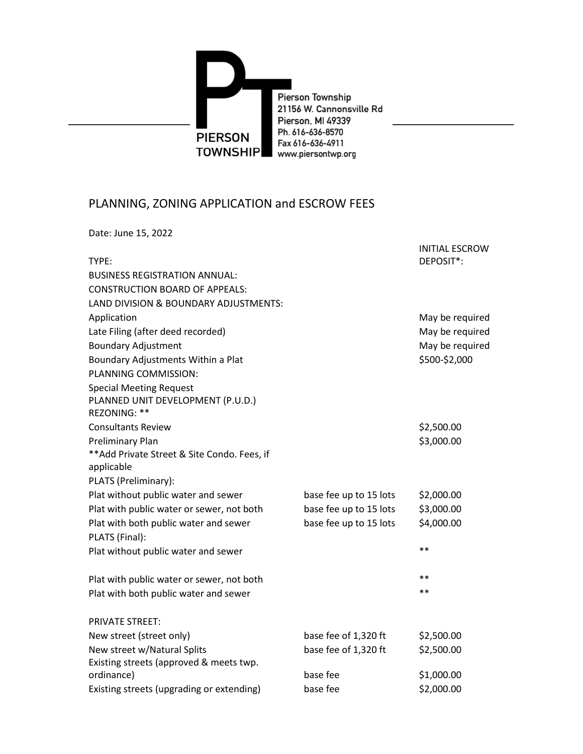

## PLANNING, ZONING APPLICATION and ESCROW FEES

Date: June 15, 2022

| TYPE:                                        |                        | <b>INITIAL ESCROW</b><br>DEPOSIT*: |
|----------------------------------------------|------------------------|------------------------------------|
| <b>BUSINESS REGISTRATION ANNUAL:</b>         |                        |                                    |
| <b>CONSTRUCTION BOARD OF APPEALS:</b>        |                        |                                    |
| LAND DIVISION & BOUNDARY ADJUSTMENTS:        |                        |                                    |
| Application                                  |                        | May be required                    |
| Late Filing (after deed recorded)            |                        | May be required                    |
| <b>Boundary Adjustment</b>                   |                        | May be required                    |
| Boundary Adjustments Within a Plat           |                        | \$500-\$2,000                      |
| PLANNING COMMISSION:                         |                        |                                    |
| <b>Special Meeting Request</b>               |                        |                                    |
| PLANNED UNIT DEVELOPMENT (P.U.D.)            |                        |                                    |
| REZONING: **                                 |                        |                                    |
| <b>Consultants Review</b>                    |                        | \$2,500.00                         |
| Preliminary Plan                             |                        | \$3,000.00                         |
| ** Add Private Street & Site Condo. Fees, if |                        |                                    |
| applicable                                   |                        |                                    |
| PLATS (Preliminary):                         |                        |                                    |
| Plat without public water and sewer          | base fee up to 15 lots | \$2,000.00                         |
| Plat with public water or sewer, not both    | base fee up to 15 lots | \$3,000.00                         |
| Plat with both public water and sewer        | base fee up to 15 lots | \$4,000.00                         |
| PLATS (Final):                               |                        |                                    |
| Plat without public water and sewer          |                        | $* *$                              |
| Plat with public water or sewer, not both    |                        | $**$                               |
| Plat with both public water and sewer        |                        | $* *$                              |
| <b>PRIVATE STREET:</b>                       |                        |                                    |
| New street (street only)                     | base fee of 1,320 ft   | \$2,500.00                         |
| New street w/Natural Splits                  | base fee of 1,320 ft   | \$2,500.00                         |
| Existing streets (approved & meets twp.      |                        |                                    |
| ordinance)                                   | base fee               | \$1,000.00                         |
| Existing streets (upgrading or extending)    | base fee               | \$2,000.00                         |